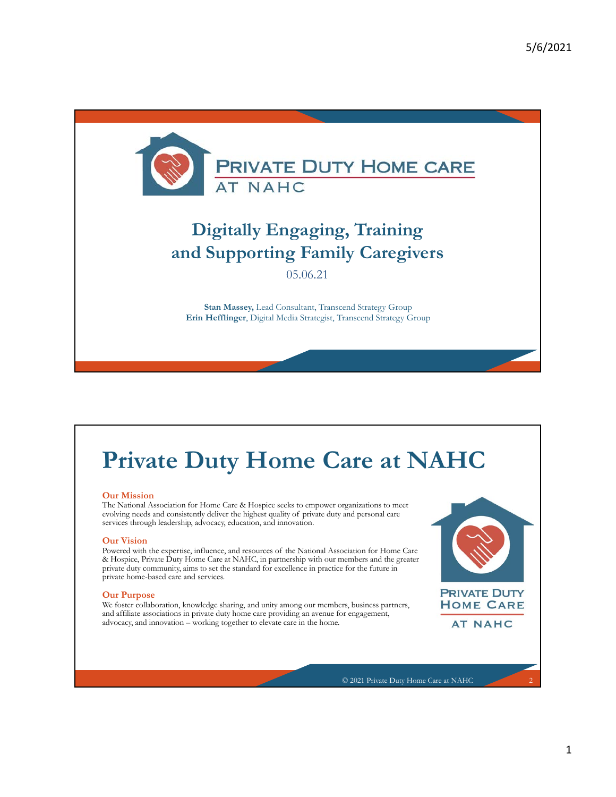

### **Digitally Engaging, Training and Supporting Family Caregivers**

05.06.21

**Stan Massey,** Lead Consultant, Transcend Strategy Group **Erin Hefflinger**, Digital Media Strategist, Transcend Strategy Group

# **Private Duty Home Care at NAHC**

### **Our Mission**

The National Association for Home Care & Hospice seeks to empower organizations to meet evolving needs and consistently deliver the highest quality of private duty and personal care services through leadership, advocacy, education, and innovation.

#### **Our Vision**

Powered with the expertise, influence, and resources of the National Association for Home Care & Hospice, Private Duty Home Care at NAHC, in partnership with our members and the greater private duty community, aims to set the standard for excellence in practice for the future in private home-based care and services.

### **Our Purpose**

We foster collaboration, knowledge sharing, and unity among our members, business partners, and affiliate associations in private duty home care providing an avenue for engagement, advocacy, and innovation – working together to elevate care in the home.



**AT NAHC**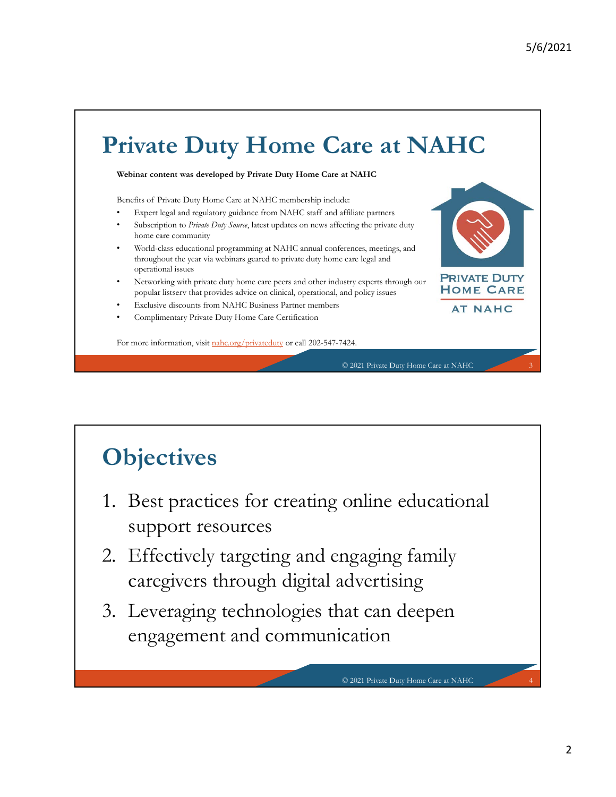# **Private Duty Home Care at NAHC**

**Webinar content was developed by Private Duty Home Care at NAHC**

Benefits of Private Duty Home Care at NAHC membership include:

- Expert legal and regulatory guidance from NAHC staff and affiliate partners • Subscription to *Private Duty Source*, latest updates on news affecting the private duty home care community
- World-class educational programming at NAHC annual conferences, meetings, and throughout the year via webinars geared to private duty home care legal and operational issues
- Networking with private duty home care peers and other industry experts through our popular listserv that provides advice on clinical, operational, and policy issues
- Exclusive discounts from NAHC Business Partner members
- Complimentary Private Duty Home Care Certification

For more information, visit nahc.org/privateduty or call 202-547-7424.

# **Objectives**

- 1. Best practices for creating online educational support resources
- 2. Effectively targeting and engaging family caregivers through digital advertising
- 3. Leveraging technologies that can deepen engagement and communication

© 2021 Private Duty Home Care at NAHC 4

© 2021 Private Duty Home Care at NAHC 3

**PRIVATE DUTY HOME CARE AT NAHC**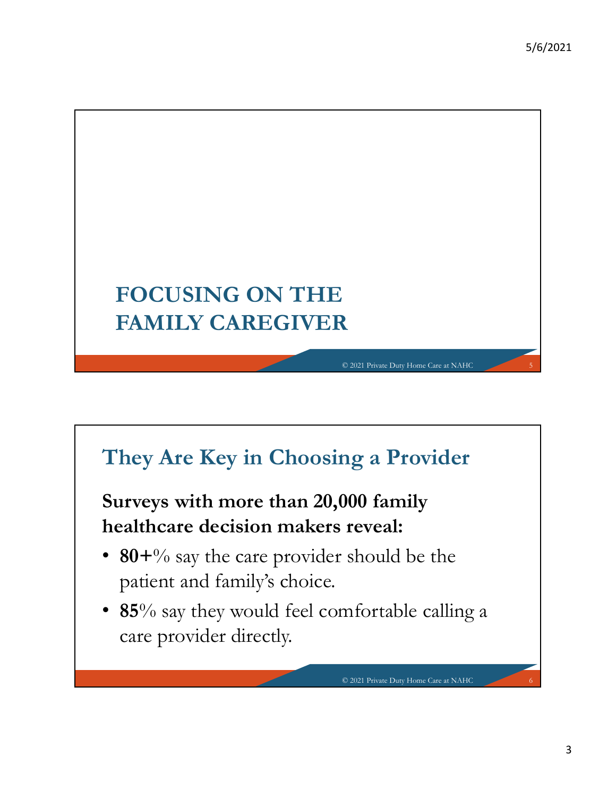

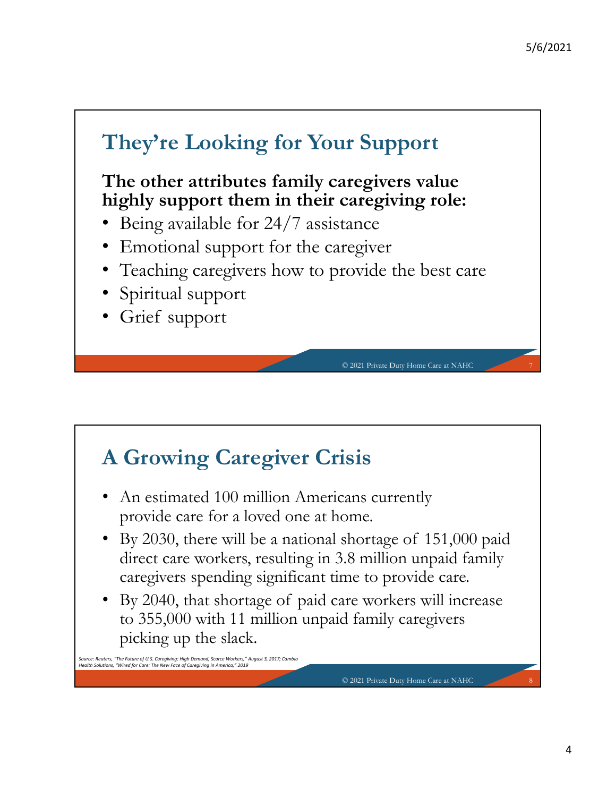

# **A Growing Caregiver Crisis**

- An estimated 100 million Americans currently provide care for a loved one at home.
- By 2030, there will be a national shortage of 151,000 paid direct care workers, resulting in 3.8 million unpaid family caregivers spending significant time to provide care.
- By 2040, that shortage of paid care workers will increase to 355,000 with 11 million unpaid family caregivers picking up the slack.

*Source: Reuters, "The Future of U.S. Caregiving: High Demand, Scarce Workers," August 3, 2017; Cambia Health Solutions, "Wired for Care: The New Face of Caregiving in America," 2019*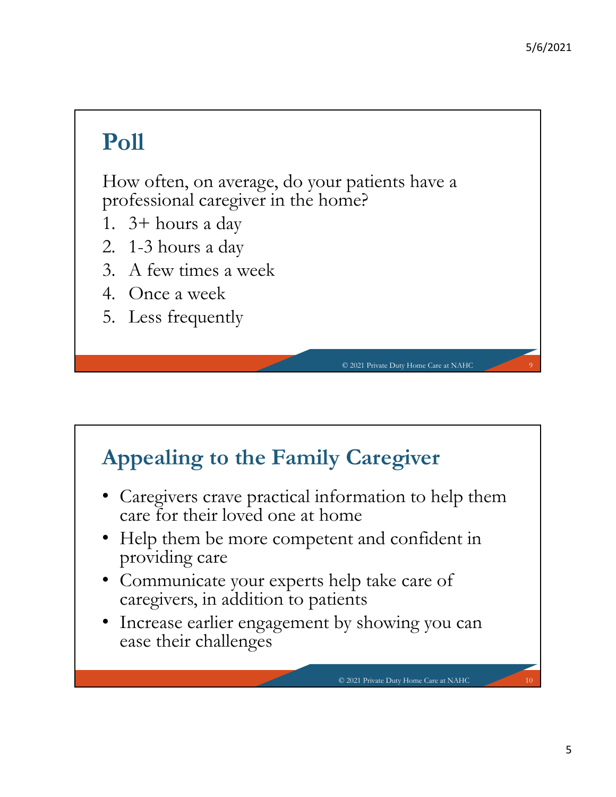# **Poll**

How often, on average, do your patients have a professional caregiver in the home?

- 1. 3+ hours a day
- 2. 1-3 hours a day
- 3. A few times a week
- 4. Once a week
- 5. Less frequently

### **Appealing to the Family Caregiver**

• Caregivers crave practical information to help them care for their loved one at home

© 2021 Private Duty Home Care at NAHC 9

- Help them be more competent and confident in providing care
- Communicate your experts help take care of caregivers, in addition to patients
- Increase earlier engagement by showing you can ease their challenges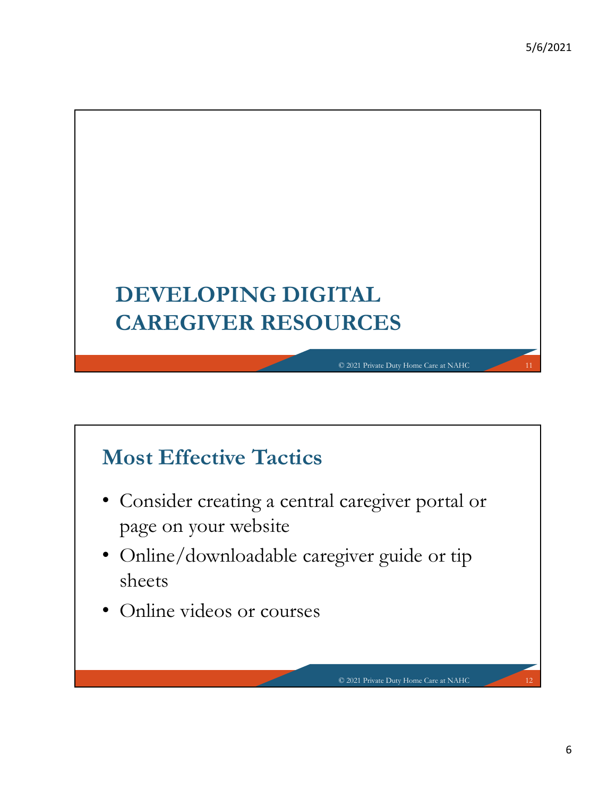

# **Most Effective Tactics**

- Consider creating a central caregiver portal or page on your website
- Online/downloadable caregiver guide or tip sheets

© 2021 Private Duty Home Care at NAHC 12

• Online videos or courses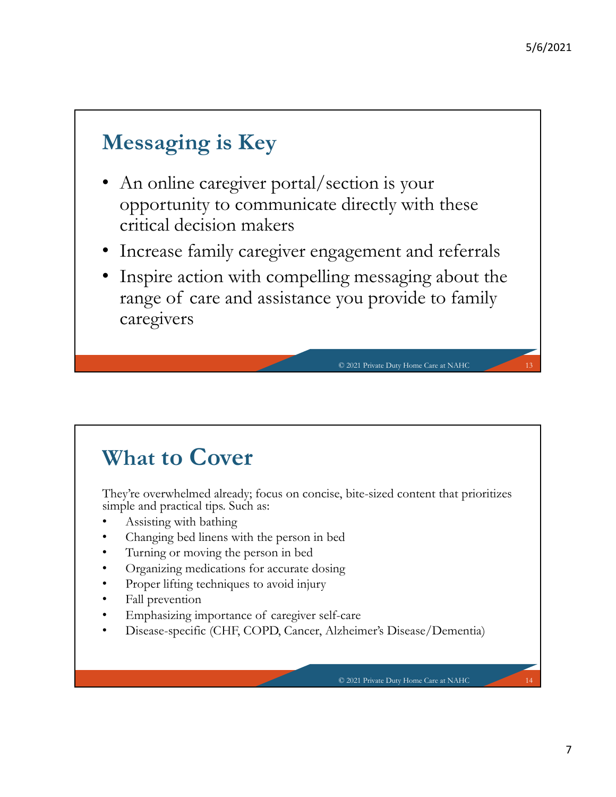## **Messaging is Key**

- An online caregiver portal/section is your opportunity to communicate directly with these critical decision makers
- Increase family caregiver engagement and referrals
- Inspire action with compelling messaging about the range of care and assistance you provide to family caregivers

### **What to Cover**

They're overwhelmed already; focus on concise, bite-sized content that prioritizes simple and practical tips. Such as:

- Assisting with bathing
- Changing bed linens with the person in bed
- Turning or moving the person in bed
- Organizing medications for accurate dosing
- Proper lifting techniques to avoid injury
- Fall prevention
- Emphasizing importance of caregiver self-care
- Disease-specific (CHF, COPD, Cancer, Alzheimer's Disease/Dementia)

© 2021 Private Duty Home Care at NAHC 14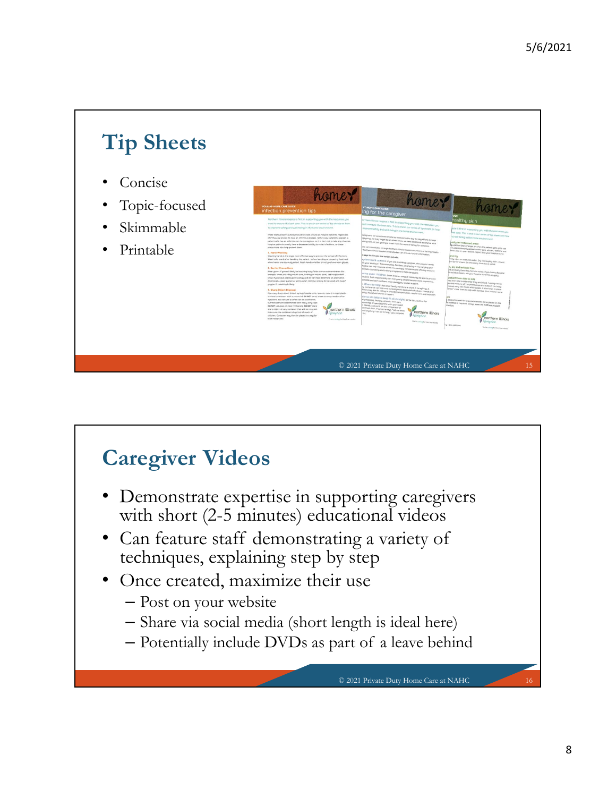

# **Caregiver Videos**

- Demonstrate expertise in supporting caregivers with short (2-5 minutes) educational videos
- Can feature staff demonstrating a variety of techniques, explaining step by step
- Once created, maximize their use
	- Post on your website
	- Share via social media (short length is ideal here)
	- Potentially include DVDs as part of a leave behind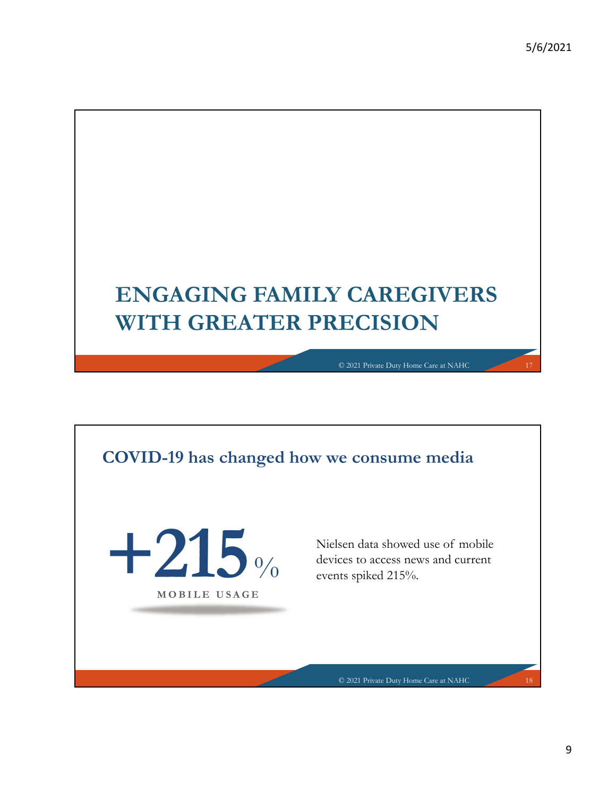# **ENGAGING FAMILY CAREGIVERS WITH GREATER PRECISION**

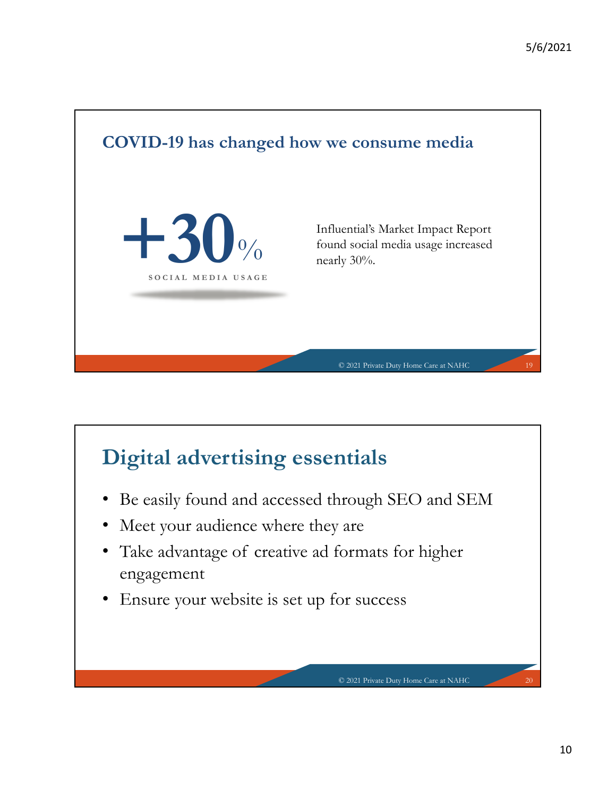

# **Digital advertising essentials**

• Be easily found and accessed through SEO and SEM

- Meet your audience where they are
- Take advantage of creative ad formats for higher engagement
- Ensure your website is set up for success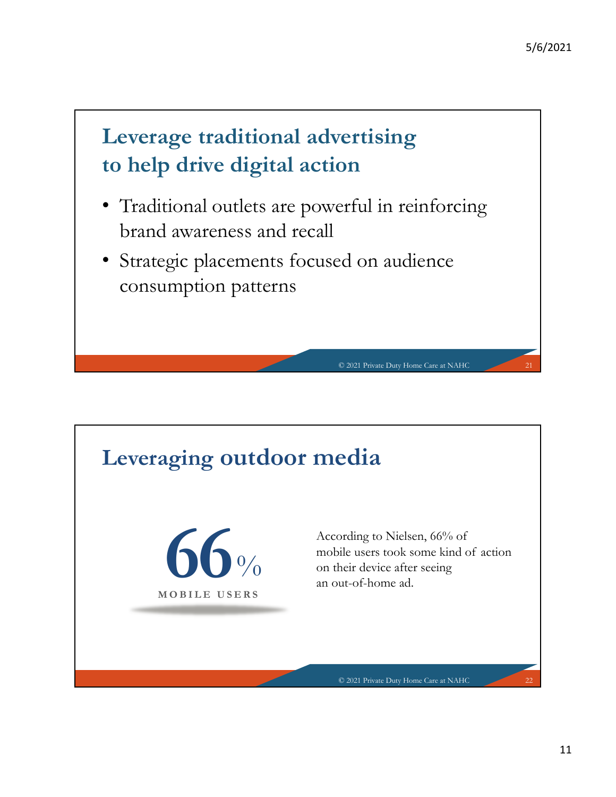# **Leverage traditional advertising to help drive digital action**

- Traditional outlets are powerful in reinforcing brand awareness and recall
- Strategic placements focused on audience consumption patterns

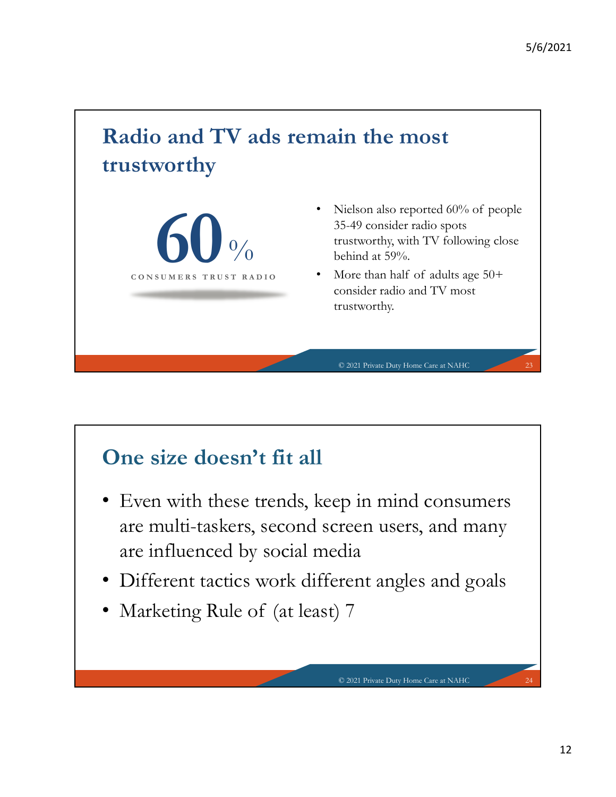# **Radio and TV ads remain the most trustworthy**



- Nielson also reported 60% of people 35-49 consider radio spots trustworthy, with TV following close behind at 59%.
- More than half of adults age 50+ consider radio and TV most trustworthy.

© 2021 Private Duty Home Care at NAHC

© 2021 Private Duty Home Care at NAHC

### **One size doesn't fit all**

- Even with these trends, keep in mind consumers are multi-taskers, second screen users, and many are influenced by social media
- Different tactics work different angles and goals
- Marketing Rule of (at least) 7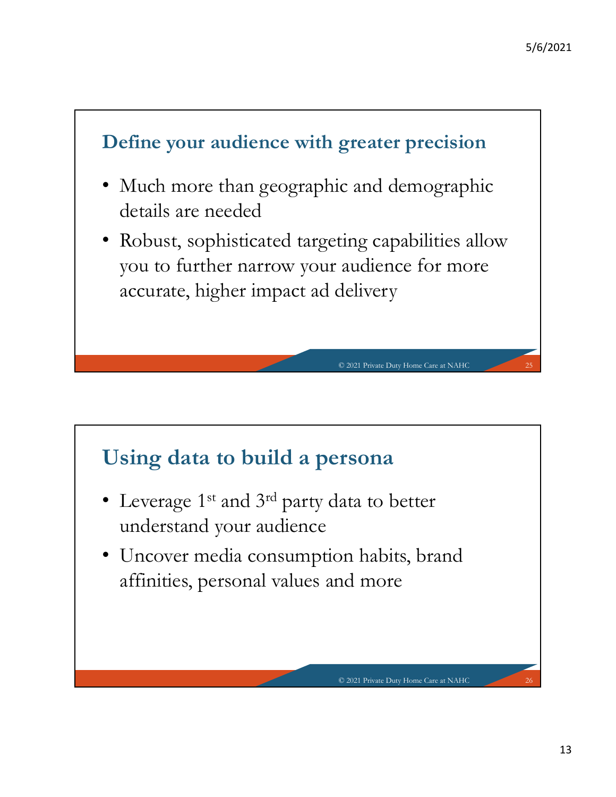

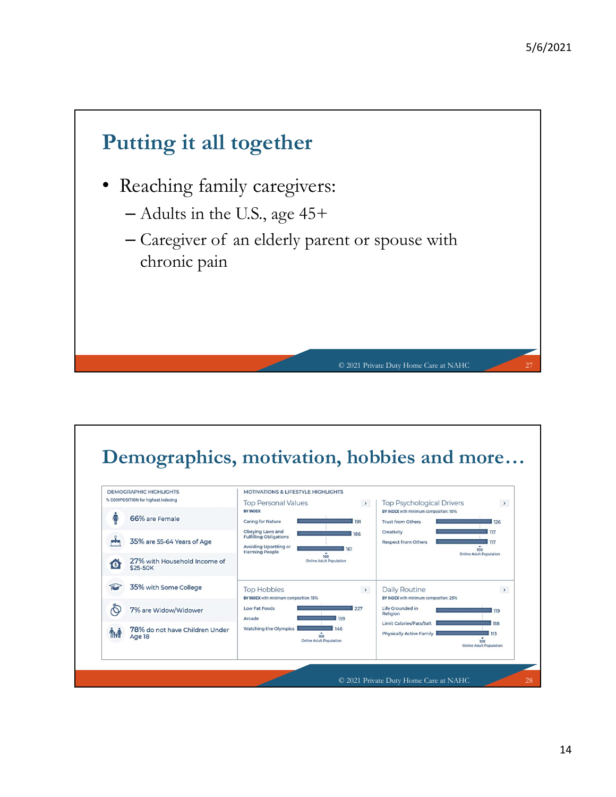

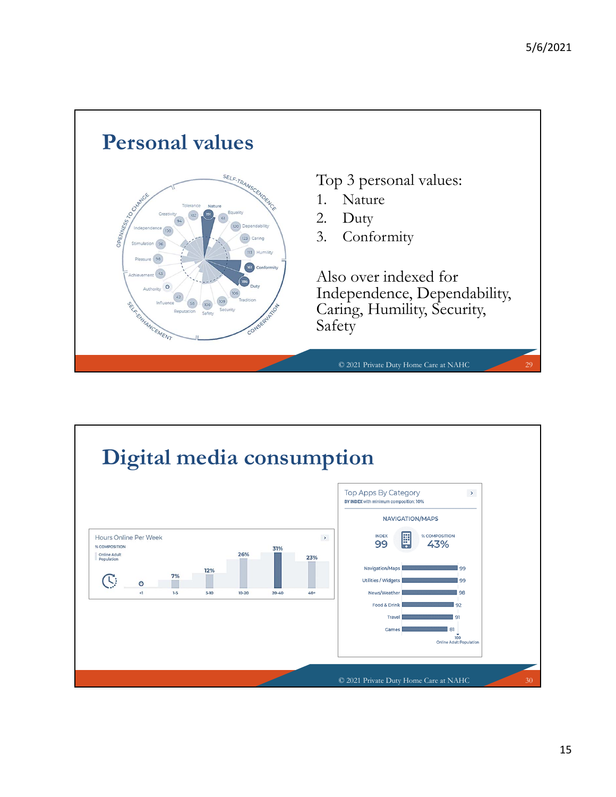

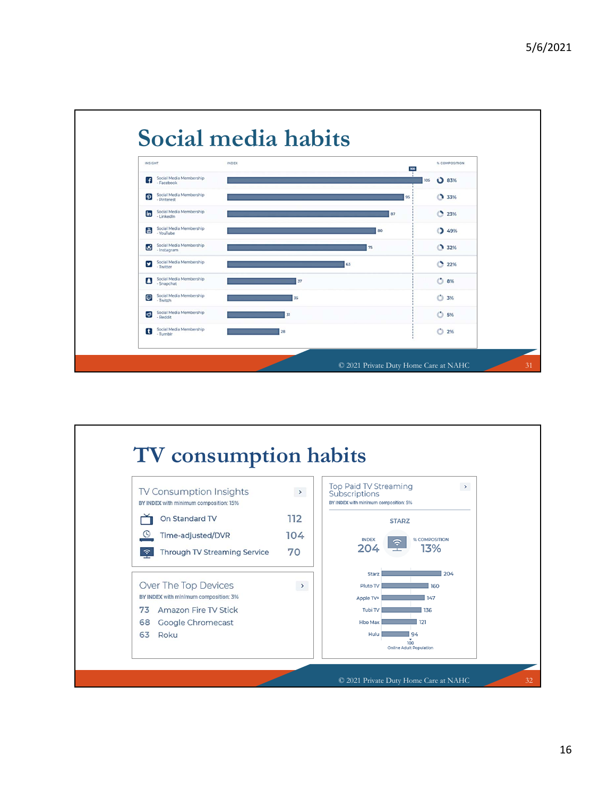

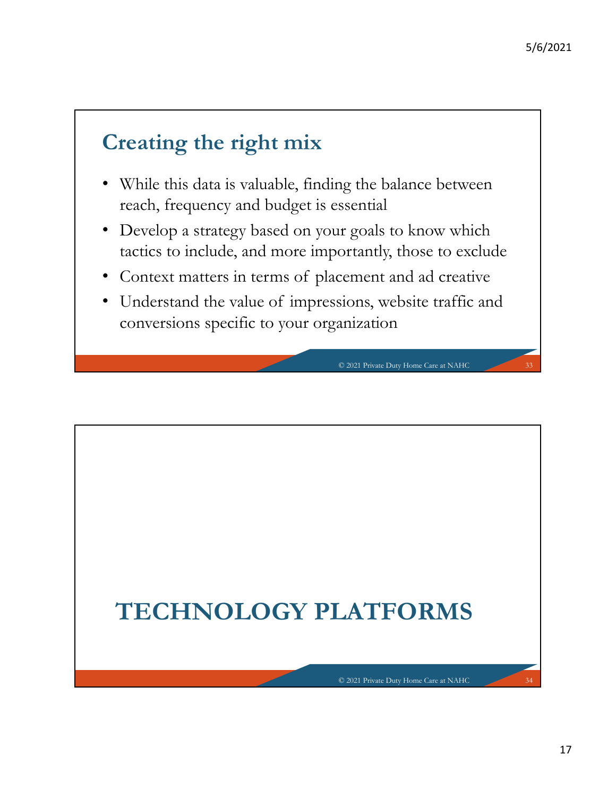### **Creating the right mix**

- While this data is valuable, finding the balance between reach, frequency and budget is essential
- Develop a strategy based on your goals to know which tactics to include, and more importantly, those to exclude
- Context matters in terms of placement and ad creative
- Understand the value of impressions, website traffic and conversions specific to your organization

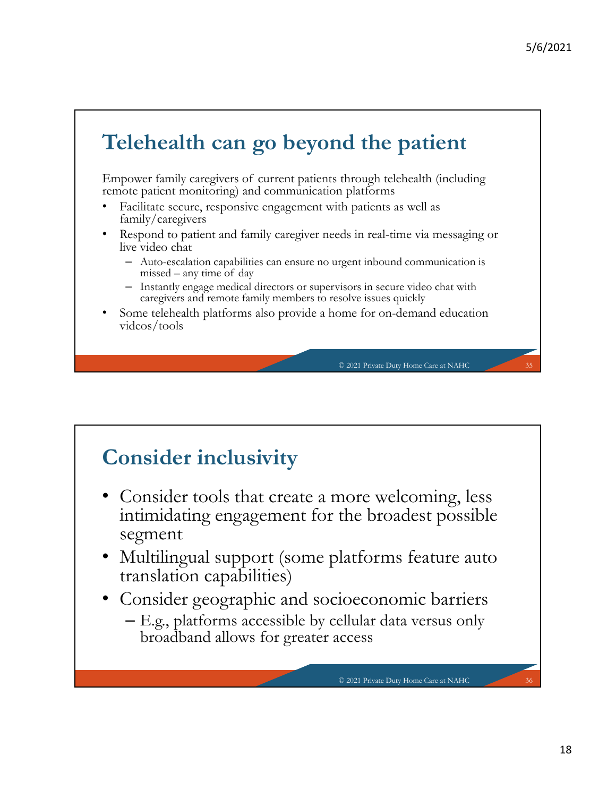## **Telehealth can go beyond the patient**

Empower family caregivers of current patients through telehealth (including remote patient monitoring) and communication platforms

- Facilitate secure, responsive engagement with patients as well as family/caregivers
- Respond to patient and family caregiver needs in real-time via messaging or live video chat
	- Auto-escalation capabilities can ensure no urgent inbound communication is missed – any time of day
	- Instantly engage medical directors or supervisors in secure video chat with caregivers and remote family members to resolve issues quickly
- Some telehealth platforms also provide a home for on-demand education videos/tools

© 2021 Private Duty Home Care at NAHC 35

© 2021 Private Duty Home Care at NAHC 36

### **Consider inclusivity**

- Consider tools that create a more welcoming, less intimidating engagement for the broadest possible segment
- Multilingual support (some platforms feature auto translation capabilities)
- Consider geographic and socioeconomic barriers
	- E.g., platforms accessible by cellular data versus only broadband allows for greater access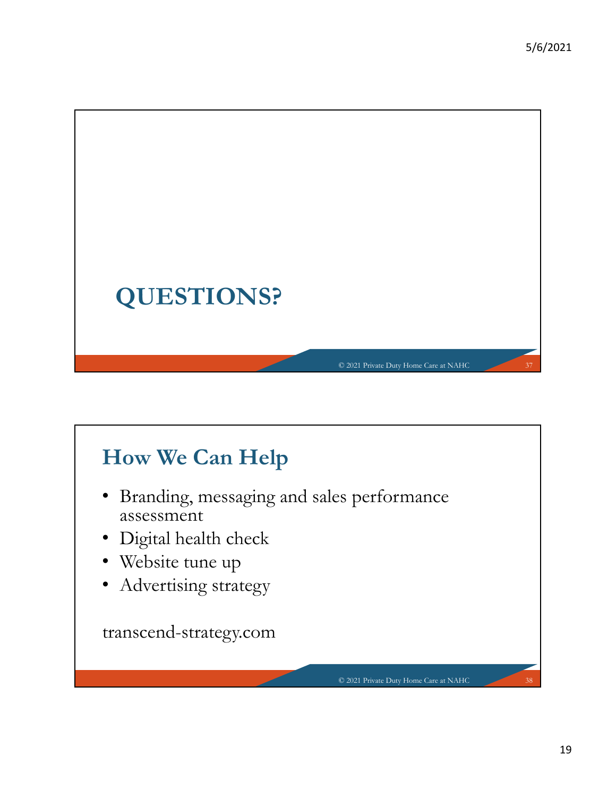

# **How We Can Help**

- Branding, messaging and sales performance assessment
- Digital health check
- Website tune up
- Advertising strategy

transcend-strategy.com

© 2021 Private Duty Home Care at NAHC 38

19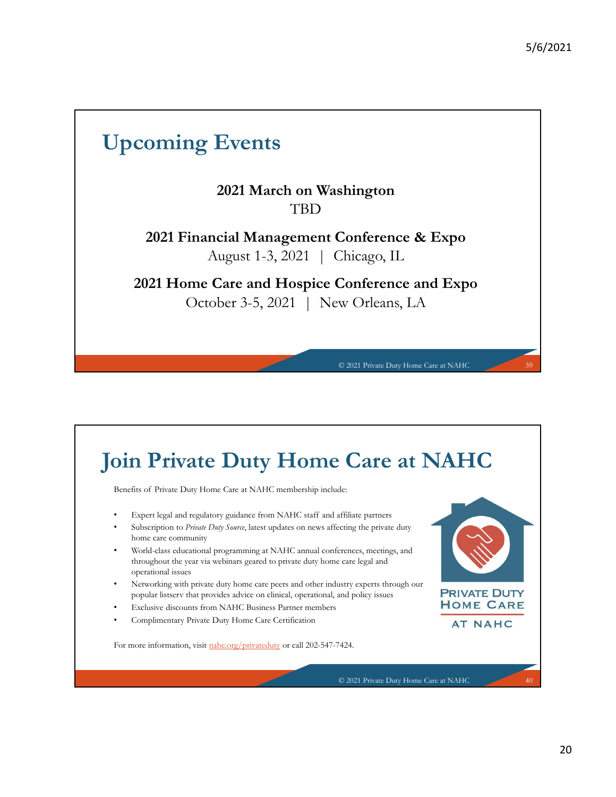### **Upcoming Events**

### **2021 March on Washington** TBD

**2021 Financial Management Conference & Expo** August 1-3, 2021 | Chicago, IL

**2021 Home Care and Hospice Conference and Expo** October 3-5, 2021 | New Orleans, LA